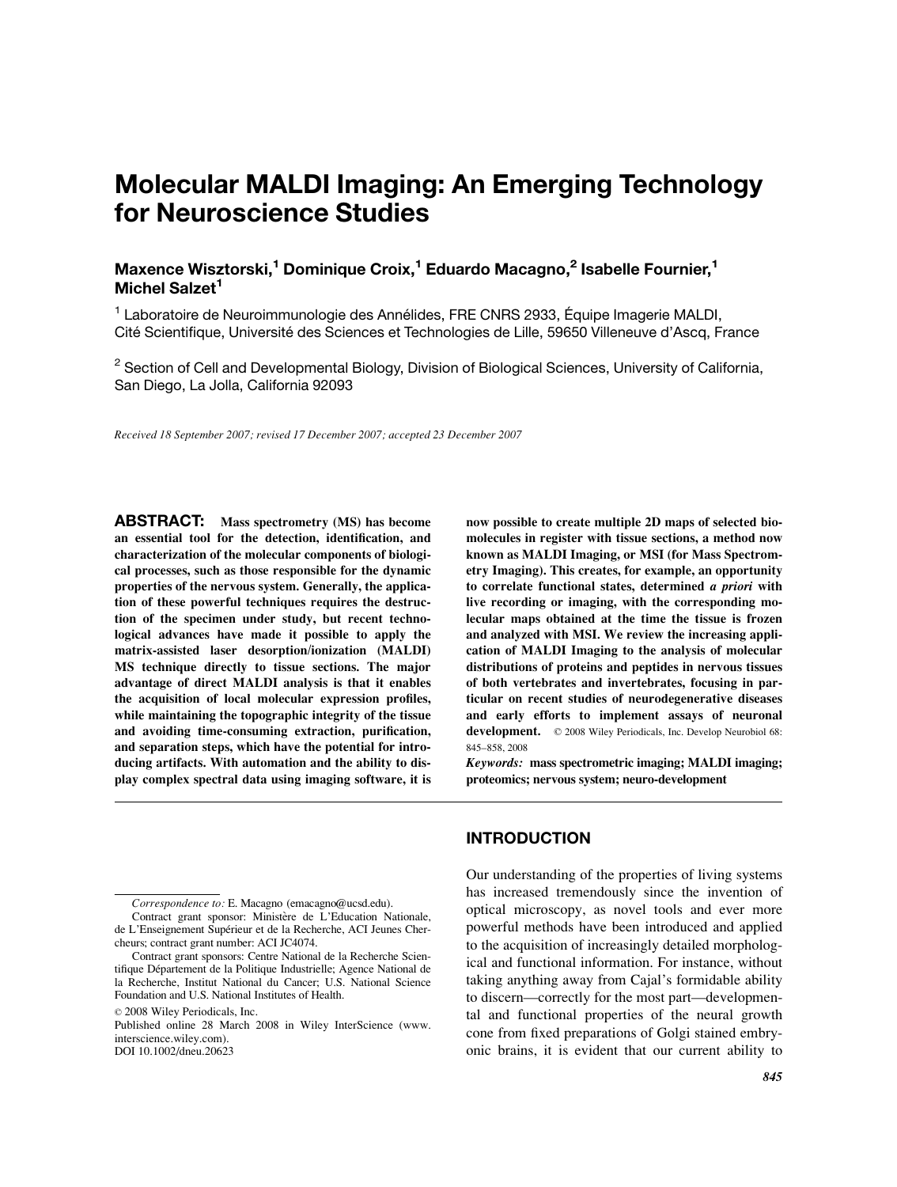# Molecular MALDI Imaging: An Emerging Technology for Neuroscience Studies

# Maxence Wisztorski,<sup>1</sup> Dominique Croix,<sup>1</sup> Eduardo Macagno,<sup>2</sup> Isabelle Fournier,<sup>1</sup> Michel Salzet<sup>1</sup>

 $<sup>1</sup>$  Laboratoire de Neuroimmunologie des Annélides, FRE CNRS 2933, Équipe Imagerie MALDI,</sup> Cité Scientifique, Université des Sciences et Technologies de Lille, 59650 Villeneuve d'Ascq, France

<sup>2</sup> Section of Cell and Developmental Biology, Division of Biological Sciences, University of California, San Diego, La Jolla, California 92093

Received 18 September 2007; revised 17 December 2007; accepted 23 December 2007

ABSTRACT: Mass spectrometry (MS) has become an essential tool for the detection, identification, and characterization of the molecular components of biological processes, such as those responsible for the dynamic properties of the nervous system. Generally, the application of these powerful techniques requires the destruction of the specimen under study, but recent technological advances have made it possible to apply the matrix-assisted laser desorption/ionization (MALDI) MS technique directly to tissue sections. The major advantage of direct MALDI analysis is that it enables the acquisition of local molecular expression profiles, while maintaining the topographic integrity of the tissue and avoiding time-consuming extraction, purification, and separation steps, which have the potential for introducing artifacts. With automation and the ability to display complex spectral data using imaging software, it is

now possible to create multiple 2D maps of selected biomolecules in register with tissue sections, a method now known as MALDI Imaging, or MSI (for Mass Spectrometry Imaging). This creates, for example, an opportunity to correlate functional states, determined a priori with live recording or imaging, with the corresponding molecular maps obtained at the time the tissue is frozen and analyzed with MSI. We review the increasing application of MALDI Imaging to the analysis of molecular distributions of proteins and peptides in nervous tissues of both vertebrates and invertebrates, focusing in particular on recent studies of neurodegenerative diseases and early efforts to implement assays of neuronal development.  $\circ$  2008 Wiley Periodicals, Inc. Develop Neurobiol 68: 845–858, 2008

Keywords: mass spectrometric imaging; MALDI imaging; proteomics; nervous system; neuro-development

Correspondence to: E. Macagno (emacagno@ucsd.edu).

Contract grant sponsor: Ministère de L'Education Nationale, de L'Enseignement Supérieur et de la Recherche, ACI Jeunes Chercheurs; contract grant number: ACI JC4074.

Published online 28 March 2008 in Wiley InterScience (www. interscience.wiley.com). DOI 10.1002/dneu.20623

INTRODUCTION

Our understanding of the properties of living systems has increased tremendously since the invention of optical microscopy, as novel tools and ever more powerful methods have been introduced and applied to the acquisition of increasingly detailed morphological and functional information. For instance, without taking anything away from Cajal's formidable ability to discern—correctly for the most part—developmental and functional properties of the neural growth cone from fixed preparations of Golgi stained embryonic brains, it is evident that our current ability to

Contract grant sponsors: Centre National de la Recherche Scientifique Département de la Politique Industrielle; Agence National de la Recherche, Institut National du Cancer; U.S. National Science Foundation and U.S. National Institutes of Health.

 $@$  2008 Wiley Periodicals, Inc.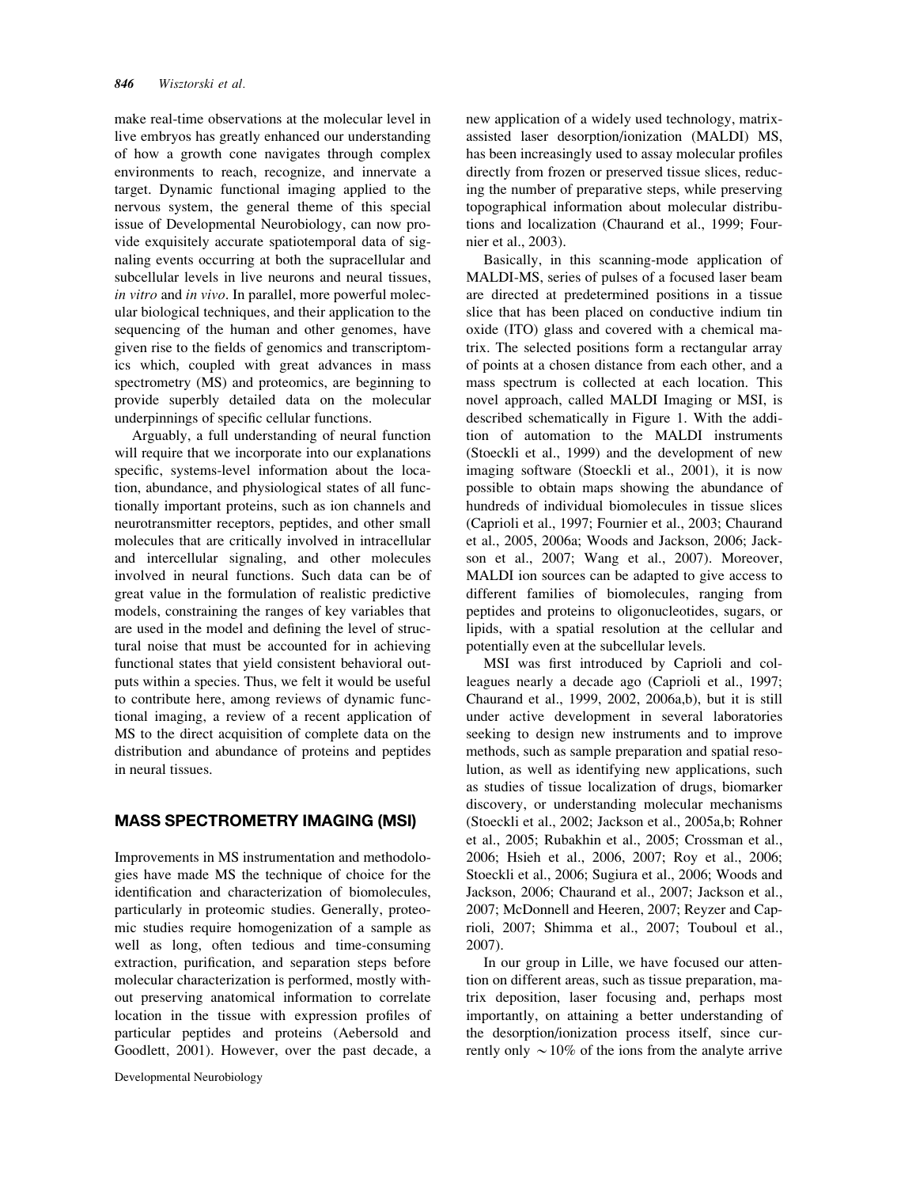make real-time observations at the molecular level in live embryos has greatly enhanced our understanding of how a growth cone navigates through complex environments to reach, recognize, and innervate a target. Dynamic functional imaging applied to the nervous system, the general theme of this special issue of Developmental Neurobiology, can now provide exquisitely accurate spatiotemporal data of signaling events occurring at both the supracellular and subcellular levels in live neurons and neural tissues, in vitro and in vivo. In parallel, more powerful molecular biological techniques, and their application to the sequencing of the human and other genomes, have given rise to the fields of genomics and transcriptomics which, coupled with great advances in mass spectrometry (MS) and proteomics, are beginning to provide superbly detailed data on the molecular underpinnings of specific cellular functions.

Arguably, a full understanding of neural function will require that we incorporate into our explanations specific, systems-level information about the location, abundance, and physiological states of all functionally important proteins, such as ion channels and neurotransmitter receptors, peptides, and other small molecules that are critically involved in intracellular and intercellular signaling, and other molecules involved in neural functions. Such data can be of great value in the formulation of realistic predictive models, constraining the ranges of key variables that are used in the model and defining the level of structural noise that must be accounted for in achieving functional states that yield consistent behavioral outputs within a species. Thus, we felt it would be useful to contribute here, among reviews of dynamic functional imaging, a review of a recent application of MS to the direct acquisition of complete data on the distribution and abundance of proteins and peptides in neural tissues.

#### MASS SPECTROMETRY IMAGING (MSI)

Improvements in MS instrumentation and methodologies have made MS the technique of choice for the identification and characterization of biomolecules, particularly in proteomic studies. Generally, proteomic studies require homogenization of a sample as well as long, often tedious and time-consuming extraction, purification, and separation steps before molecular characterization is performed, mostly without preserving anatomical information to correlate location in the tissue with expression profiles of particular peptides and proteins (Aebersold and Goodlett, 2001). However, over the past decade, a new application of a widely used technology, matrixassisted laser desorption/ionization (MALDI) MS, has been increasingly used to assay molecular profiles directly from frozen or preserved tissue slices, reducing the number of preparative steps, while preserving topographical information about molecular distributions and localization (Chaurand et al., 1999; Fournier et al., 2003).

Basically, in this scanning-mode application of MALDI-MS, series of pulses of a focused laser beam are directed at predetermined positions in a tissue slice that has been placed on conductive indium tin oxide (ITO) glass and covered with a chemical matrix. The selected positions form a rectangular array of points at a chosen distance from each other, and a mass spectrum is collected at each location. This novel approach, called MALDI Imaging or MSI, is described schematically in Figure 1. With the addition of automation to the MALDI instruments (Stoeckli et al., 1999) and the development of new imaging software (Stoeckli et al., 2001), it is now possible to obtain maps showing the abundance of hundreds of individual biomolecules in tissue slices (Caprioli et al., 1997; Fournier et al., 2003; Chaurand et al., 2005, 2006a; Woods and Jackson, 2006; Jackson et al., 2007; Wang et al., 2007). Moreover, MALDI ion sources can be adapted to give access to different families of biomolecules, ranging from peptides and proteins to oligonucleotides, sugars, or lipids, with a spatial resolution at the cellular and potentially even at the subcellular levels.

MSI was first introduced by Caprioli and colleagues nearly a decade ago (Caprioli et al., 1997; Chaurand et al., 1999, 2002, 2006a,b), but it is still under active development in several laboratories seeking to design new instruments and to improve methods, such as sample preparation and spatial resolution, as well as identifying new applications, such as studies of tissue localization of drugs, biomarker discovery, or understanding molecular mechanisms (Stoeckli et al., 2002; Jackson et al., 2005a,b; Rohner et al., 2005; Rubakhin et al., 2005; Crossman et al., 2006; Hsieh et al., 2006, 2007; Roy et al., 2006; Stoeckli et al., 2006; Sugiura et al., 2006; Woods and Jackson, 2006; Chaurand et al., 2007; Jackson et al., 2007; McDonnell and Heeren, 2007; Reyzer and Caprioli, 2007; Shimma et al., 2007; Touboul et al., 2007).

In our group in Lille, we have focused our attention on different areas, such as tissue preparation, matrix deposition, laser focusing and, perhaps most importantly, on attaining a better understanding of the desorption/ionization process itself, since currently only  $\sim$  10% of the ions from the analyte arrive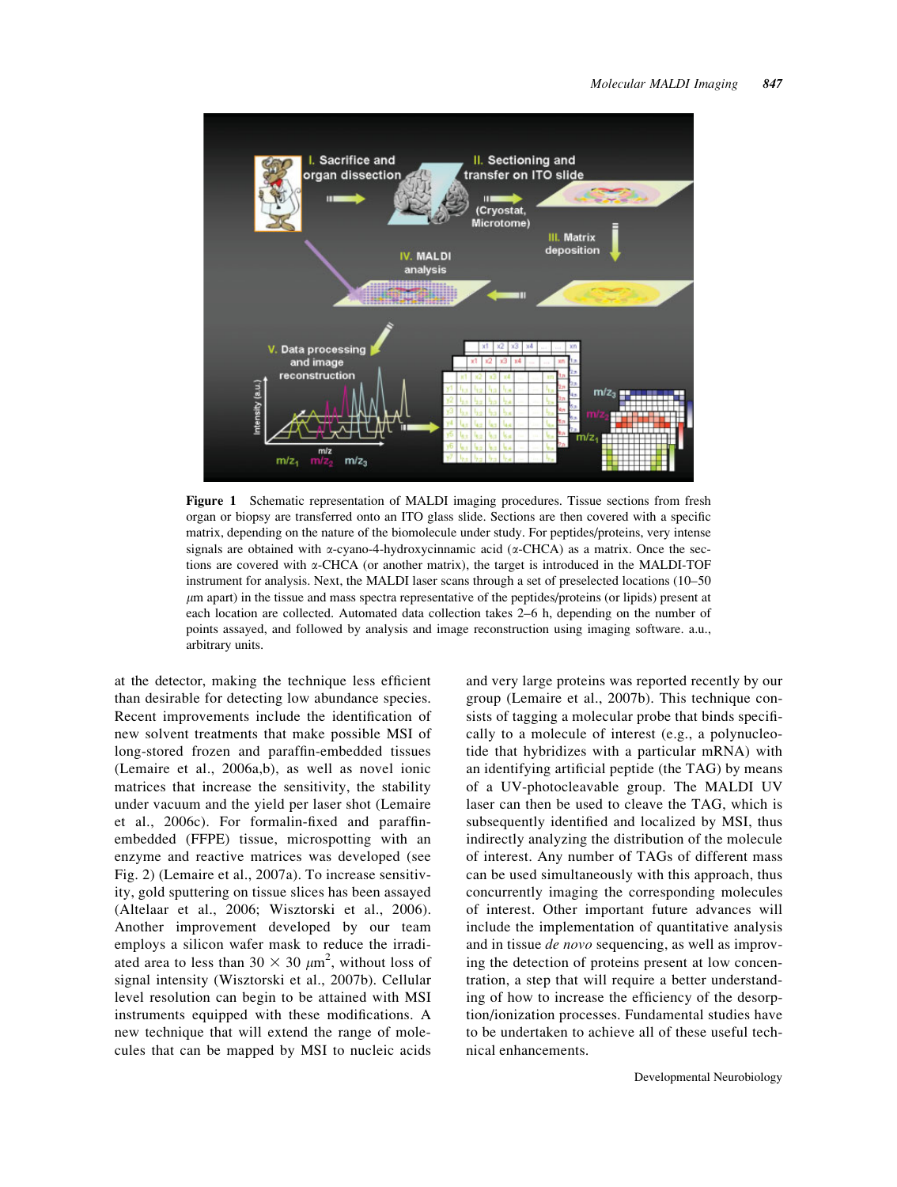

Figure 1 Schematic representation of MALDI imaging procedures. Tissue sections from fresh organ or biopsy are transferred onto an ITO glass slide. Sections are then covered with a specific matrix, depending on the nature of the biomolecule under study. For peptides/proteins, very intense signals are obtained with  $\alpha$ -cyano-4-hydroxycinnamic acid ( $\alpha$ -CHCA) as a matrix. Once the sections are covered with  $\alpha$ -CHCA (or another matrix), the target is introduced in the MALDI-TOF instrument for analysis. Next, the MALDI laser scans through a set of preselected locations (10–50  $\mu$ m apart) in the tissue and mass spectra representative of the peptides/proteins (or lipids) present at each location are collected. Automated data collection takes 2–6 h, depending on the number of points assayed, and followed by analysis and image reconstruction using imaging software. a.u., arbitrary units.

at the detector, making the technique less efficient than desirable for detecting low abundance species. Recent improvements include the identification of new solvent treatments that make possible MSI of long-stored frozen and paraffin-embedded tissues (Lemaire et al., 2006a,b), as well as novel ionic matrices that increase the sensitivity, the stability under vacuum and the yield per laser shot (Lemaire et al., 2006c). For formalin-fixed and paraffinembedded (FFPE) tissue, microspotting with an enzyme and reactive matrices was developed (see Fig. 2) (Lemaire et al., 2007a). To increase sensitivity, gold sputtering on tissue slices has been assayed (Altelaar et al., 2006; Wisztorski et al., 2006). Another improvement developed by our team employs a silicon wafer mask to reduce the irradiated area to less than  $30 \times 30 \ \mu m^2$ , without loss of signal intensity (Wisztorski et al., 2007b). Cellular level resolution can begin to be attained with MSI instruments equipped with these modifications. A new technique that will extend the range of molecules that can be mapped by MSI to nucleic acids

and very large proteins was reported recently by our group (Lemaire et al., 2007b). This technique consists of tagging a molecular probe that binds specifically to a molecule of interest (e.g., a polynucleotide that hybridizes with a particular mRNA) with an identifying artificial peptide (the TAG) by means of a UV-photocleavable group. The MALDI UV laser can then be used to cleave the TAG, which is subsequently identified and localized by MSI, thus indirectly analyzing the distribution of the molecule of interest. Any number of TAGs of different mass can be used simultaneously with this approach, thus concurrently imaging the corresponding molecules of interest. Other important future advances will include the implementation of quantitative analysis and in tissue de novo sequencing, as well as improving the detection of proteins present at low concentration, a step that will require a better understanding of how to increase the efficiency of the desorption/ionization processes. Fundamental studies have to be undertaken to achieve all of these useful technical enhancements.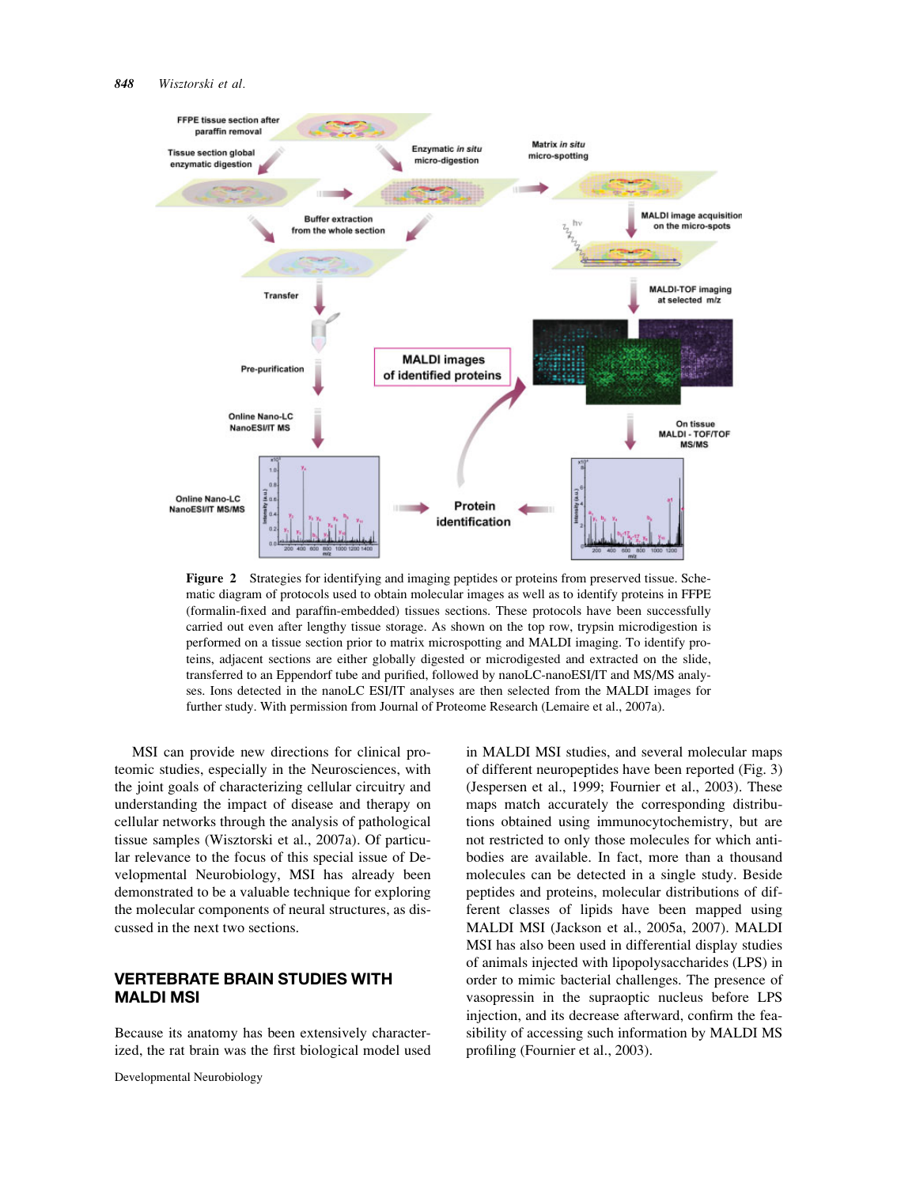

Figure 2 Strategies for identifying and imaging peptides or proteins from preserved tissue. Schematic diagram of protocols used to obtain molecular images as well as to identify proteins in FFPE (formalin-fixed and paraffin-embedded) tissues sections. These protocols have been successfully carried out even after lengthy tissue storage. As shown on the top row, trypsin microdigestion is performed on a tissue section prior to matrix microspotting and MALDI imaging. To identify proteins, adjacent sections are either globally digested or microdigested and extracted on the slide, transferred to an Eppendorf tube and purified, followed by nanoLC-nanoESI/IT and MS/MS analyses. Ions detected in the nanoLC ESI/IT analyses are then selected from the MALDI images for further study. With permission from Journal of Proteome Research (Lemaire et al., 2007a).

MSI can provide new directions for clinical proteomic studies, especially in the Neurosciences, with the joint goals of characterizing cellular circuitry and understanding the impact of disease and therapy on cellular networks through the analysis of pathological tissue samples (Wisztorski et al., 2007a). Of particular relevance to the focus of this special issue of Developmental Neurobiology, MSI has already been demonstrated to be a valuable technique for exploring the molecular components of neural structures, as discussed in the next two sections.

### VERTEBRATE BRAIN STUDIES WITH MALDI MSI

Because its anatomy has been extensively characterized, the rat brain was the first biological model used

Developmental Neurobiology

in MALDI MSI studies, and several molecular maps of different neuropeptides have been reported (Fig. 3) (Jespersen et al., 1999; Fournier et al., 2003). These maps match accurately the corresponding distributions obtained using immunocytochemistry, but are not restricted to only those molecules for which antibodies are available. In fact, more than a thousand molecules can be detected in a single study. Beside peptides and proteins, molecular distributions of different classes of lipids have been mapped using MALDI MSI (Jackson et al., 2005a, 2007). MALDI MSI has also been used in differential display studies of animals injected with lipopolysaccharides (LPS) in order to mimic bacterial challenges. The presence of vasopressin in the supraoptic nucleus before LPS injection, and its decrease afterward, confirm the feasibility of accessing such information by MALDI MS profiling (Fournier et al., 2003).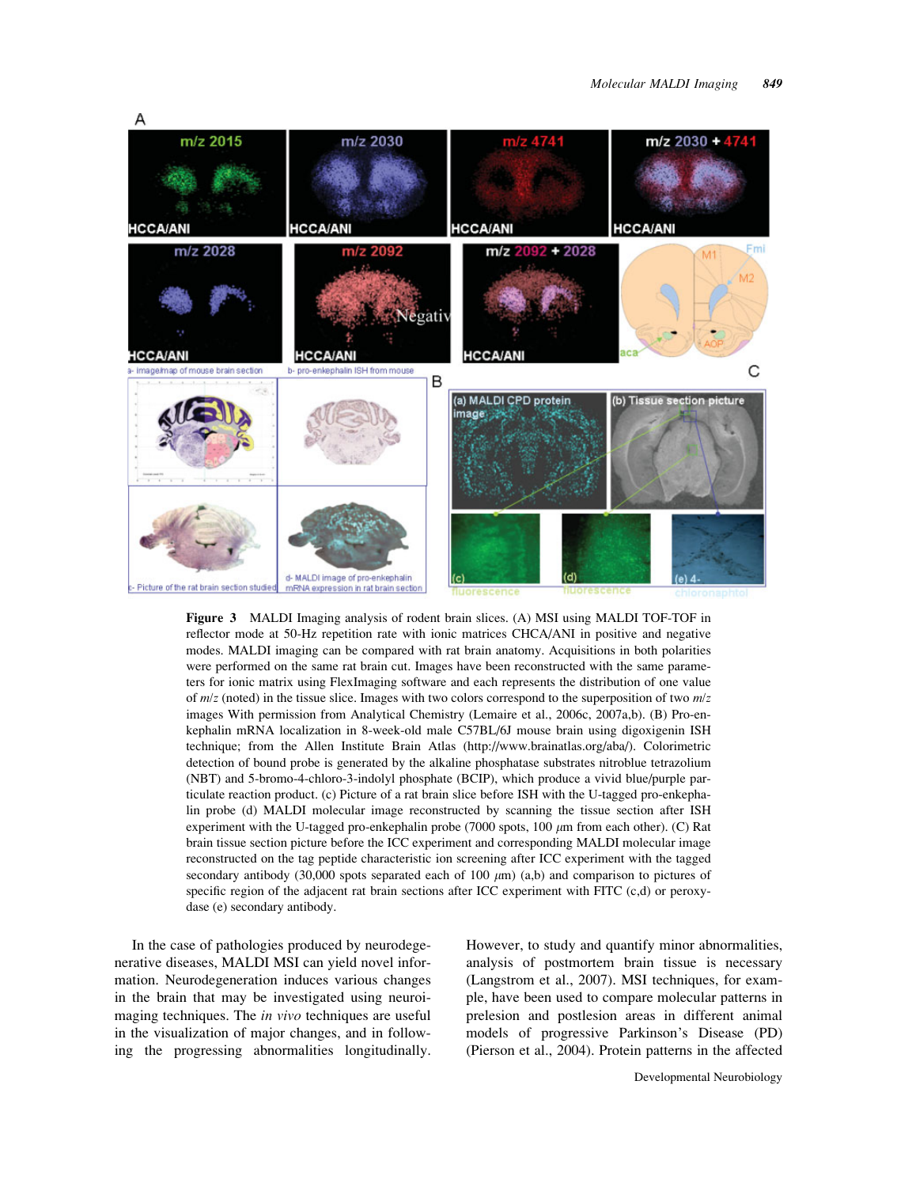

Figure 3 MALDI Imaging analysis of rodent brain slices. (A) MSI using MALDI TOF-TOF in reflector mode at 50-Hz repetition rate with ionic matrices CHCA/ANI in positive and negative modes. MALDI imaging can be compared with rat brain anatomy. Acquisitions in both polarities were performed on the same rat brain cut. Images have been reconstructed with the same parameters for ionic matrix using FlexImaging software and each represents the distribution of one value of  $m/z$  (noted) in the tissue slice. Images with two colors correspond to the superposition of two  $m/z$ images With permission from Analytical Chemistry (Lemaire et al., 2006c, 2007a,b). (B) Pro-enkephalin mRNA localization in 8-week-old male C57BL/6J mouse brain using digoxigenin ISH technique; from the Allen Institute Brain Atlas (http://www.brainatlas.org/aba/). Colorimetric detection of bound probe is generated by the alkaline phosphatase substrates nitroblue tetrazolium (NBT) and 5-bromo-4-chloro-3-indolyl phosphate (BCIP), which produce a vivid blue/purple particulate reaction product. (c) Picture of a rat brain slice before ISH with the U-tagged pro-enkephalin probe (d) MALDI molecular image reconstructed by scanning the tissue section after ISH experiment with the U-tagged pro-enkephalin probe (7000 spots, 100  $\mu$ m from each other). (C) Rat brain tissue section picture before the ICC experiment and corresponding MALDI molecular image reconstructed on the tag peptide characteristic ion screening after ICC experiment with the tagged secondary antibody (30,000 spots separated each of 100  $\mu$ m) (a,b) and comparison to pictures of specific region of the adjacent rat brain sections after ICC experiment with FITC (c,d) or peroxydase (e) secondary antibody.

In the case of pathologies produced by neurodegenerative diseases, MALDI MSI can yield novel information. Neurodegeneration induces various changes in the brain that may be investigated using neuroimaging techniques. The in vivo techniques are useful in the visualization of major changes, and in following the progressing abnormalities longitudinally. However, to study and quantify minor abnormalities, analysis of postmortem brain tissue is necessary (Langstrom et al., 2007). MSI techniques, for example, have been used to compare molecular patterns in prelesion and postlesion areas in different animal models of progressive Parkinson's Disease (PD) (Pierson et al., 2004). Protein patterns in the affected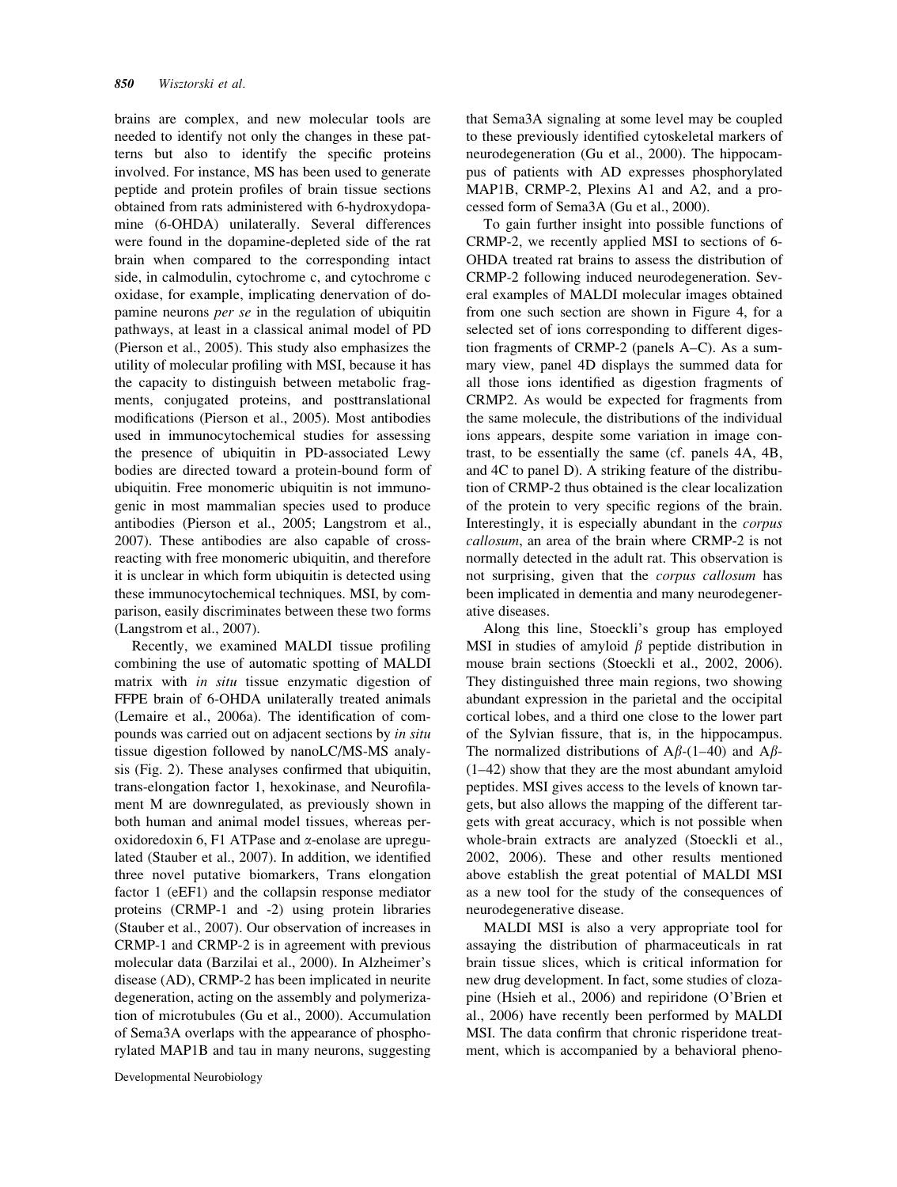brains are complex, and new molecular tools are needed to identify not only the changes in these patterns but also to identify the specific proteins involved. For instance, MS has been used to generate peptide and protein profiles of brain tissue sections obtained from rats administered with 6-hydroxydopamine (6-OHDA) unilaterally. Several differences were found in the dopamine-depleted side of the rat brain when compared to the corresponding intact side, in calmodulin, cytochrome c, and cytochrome c oxidase, for example, implicating denervation of dopamine neurons per se in the regulation of ubiquitin pathways, at least in a classical animal model of PD (Pierson et al., 2005). This study also emphasizes the utility of molecular profiling with MSI, because it has the capacity to distinguish between metabolic fragments, conjugated proteins, and posttranslational modifications (Pierson et al., 2005). Most antibodies used in immunocytochemical studies for assessing the presence of ubiquitin in PD-associated Lewy bodies are directed toward a protein-bound form of ubiquitin. Free monomeric ubiquitin is not immunogenic in most mammalian species used to produce antibodies (Pierson et al., 2005; Langstrom et al., 2007). These antibodies are also capable of crossreacting with free monomeric ubiquitin, and therefore it is unclear in which form ubiquitin is detected using these immunocytochemical techniques. MSI, by comparison, easily discriminates between these two forms (Langstrom et al., 2007).

Recently, we examined MALDI tissue profiling combining the use of automatic spotting of MALDI matrix with in situ tissue enzymatic digestion of FFPE brain of 6-OHDA unilaterally treated animals (Lemaire et al., 2006a). The identification of compounds was carried out on adjacent sections by in situ tissue digestion followed by nanoLC/MS-MS analysis (Fig. 2). These analyses confirmed that ubiquitin, trans-elongation factor 1, hexokinase, and Neurofilament M are downregulated, as previously shown in both human and animal model tissues, whereas peroxidoredoxin 6, F1 ATPase and  $\alpha$ -enolase are upregulated (Stauber et al., 2007). In addition, we identified three novel putative biomarkers, Trans elongation factor 1 (eEF1) and the collapsin response mediator proteins (CRMP-1 and -2) using protein libraries (Stauber et al., 2007). Our observation of increases in CRMP-1 and CRMP-2 is in agreement with previous molecular data (Barzilai et al., 2000). In Alzheimer's disease (AD), CRMP-2 has been implicated in neurite degeneration, acting on the assembly and polymerization of microtubules (Gu et al., 2000). Accumulation of Sema3A overlaps with the appearance of phosphorylated MAP1B and tau in many neurons, suggesting that Sema3A signaling at some level may be coupled to these previously identified cytoskeletal markers of neurodegeneration (Gu et al., 2000). The hippocampus of patients with AD expresses phosphorylated MAP1B, CRMP-2, Plexins A1 and A2, and a processed form of Sema3A (Gu et al., 2000).

To gain further insight into possible functions of CRMP-2, we recently applied MSI to sections of 6- OHDA treated rat brains to assess the distribution of CRMP-2 following induced neurodegeneration. Several examples of MALDI molecular images obtained from one such section are shown in Figure 4, for a selected set of ions corresponding to different digestion fragments of CRMP-2 (panels A–C). As a summary view, panel 4D displays the summed data for all those ions identified as digestion fragments of CRMP2. As would be expected for fragments from the same molecule, the distributions of the individual ions appears, despite some variation in image contrast, to be essentially the same (cf. panels 4A, 4B, and 4C to panel D). A striking feature of the distribution of CRMP-2 thus obtained is the clear localization of the protein to very specific regions of the brain. Interestingly, it is especially abundant in the corpus callosum, an area of the brain where CRMP-2 is not normally detected in the adult rat. This observation is not surprising, given that the corpus callosum has been implicated in dementia and many neurodegenerative diseases.

Along this line, Stoeckli's group has employed MSI in studies of amyloid  $\beta$  peptide distribution in mouse brain sections (Stoeckli et al., 2002, 2006). They distinguished three main regions, two showing abundant expression in the parietal and the occipital cortical lobes, and a third one close to the lower part of the Sylvian fissure, that is, in the hippocampus. The normalized distributions of  $A\beta$ -(1–40) and  $A\beta$ -(1–42) show that they are the most abundant amyloid peptides. MSI gives access to the levels of known targets, but also allows the mapping of the different targets with great accuracy, which is not possible when whole-brain extracts are analyzed (Stoeckli et al., 2002, 2006). These and other results mentioned above establish the great potential of MALDI MSI as a new tool for the study of the consequences of neurodegenerative disease.

MALDI MSI is also a very appropriate tool for assaying the distribution of pharmaceuticals in rat brain tissue slices, which is critical information for new drug development. In fact, some studies of clozapine (Hsieh et al., 2006) and repiridone (O'Brien et al., 2006) have recently been performed by MALDI MSI. The data confirm that chronic risperidone treatment, which is accompanied by a behavioral pheno-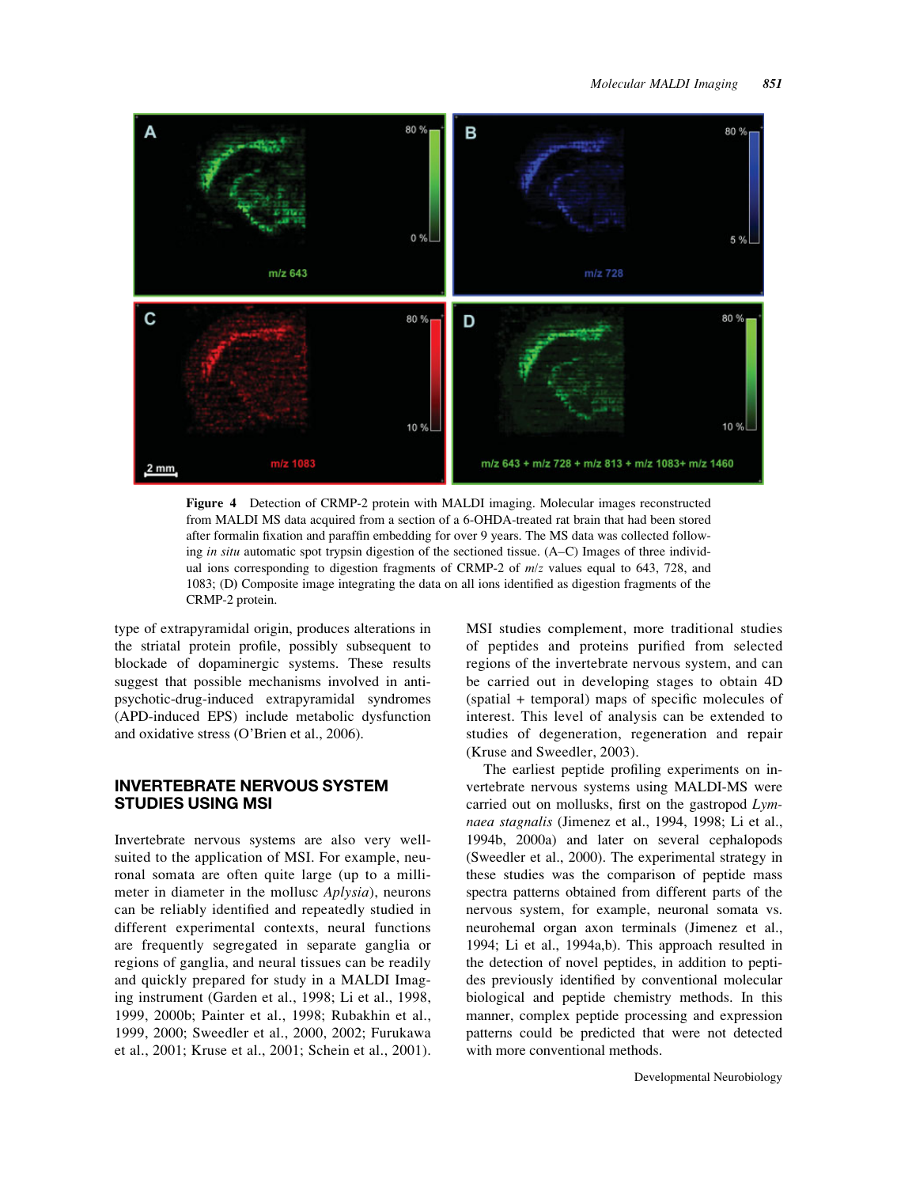

Figure 4 Detection of CRMP-2 protein with MALDI imaging. Molecular images reconstructed from MALDI MS data acquired from a section of a 6-OHDA-treated rat brain that had been stored after formalin fixation and paraffin embedding for over 9 years. The MS data was collected following in situ automatic spot trypsin digestion of the sectioned tissue. (A–C) Images of three individual ions corresponding to digestion fragments of CRMP-2 of m/z values equal to 643, 728, and 1083; (D) Composite image integrating the data on all ions identified as digestion fragments of the CRMP-2 protein.

type of extrapyramidal origin, produces alterations in the striatal protein profile, possibly subsequent to blockade of dopaminergic systems. These results suggest that possible mechanisms involved in antipsychotic-drug-induced extrapyramidal syndromes (APD-induced EPS) include metabolic dysfunction and oxidative stress (O'Brien et al., 2006).

## INVERTEBRATE NERVOUS SYSTEM STUDIES USING MSI

Invertebrate nervous systems are also very wellsuited to the application of MSI. For example, neuronal somata are often quite large (up to a millimeter in diameter in the mollusc Aplysia), neurons can be reliably identified and repeatedly studied in different experimental contexts, neural functions are frequently segregated in separate ganglia or regions of ganglia, and neural tissues can be readily and quickly prepared for study in a MALDI Imaging instrument (Garden et al., 1998; Li et al., 1998, 1999, 2000b; Painter et al., 1998; Rubakhin et al., 1999, 2000; Sweedler et al., 2000, 2002; Furukawa et al., 2001; Kruse et al., 2001; Schein et al., 2001).

MSI studies complement, more traditional studies of peptides and proteins purified from selected regions of the invertebrate nervous system, and can be carried out in developing stages to obtain 4D (spatial + temporal) maps of specific molecules of interest. This level of analysis can be extended to studies of degeneration, regeneration and repair (Kruse and Sweedler, 2003).

The earliest peptide profiling experiments on invertebrate nervous systems using MALDI-MS were carried out on mollusks, first on the gastropod Lymnaea stagnalis (Jimenez et al., 1994, 1998; Li et al., 1994b, 2000a) and later on several cephalopods (Sweedler et al., 2000). The experimental strategy in these studies was the comparison of peptide mass spectra patterns obtained from different parts of the nervous system, for example, neuronal somata vs. neurohemal organ axon terminals (Jimenez et al., 1994; Li et al., 1994a,b). This approach resulted in the detection of novel peptides, in addition to peptides previously identified by conventional molecular biological and peptide chemistry methods. In this manner, complex peptide processing and expression patterns could be predicted that were not detected with more conventional methods.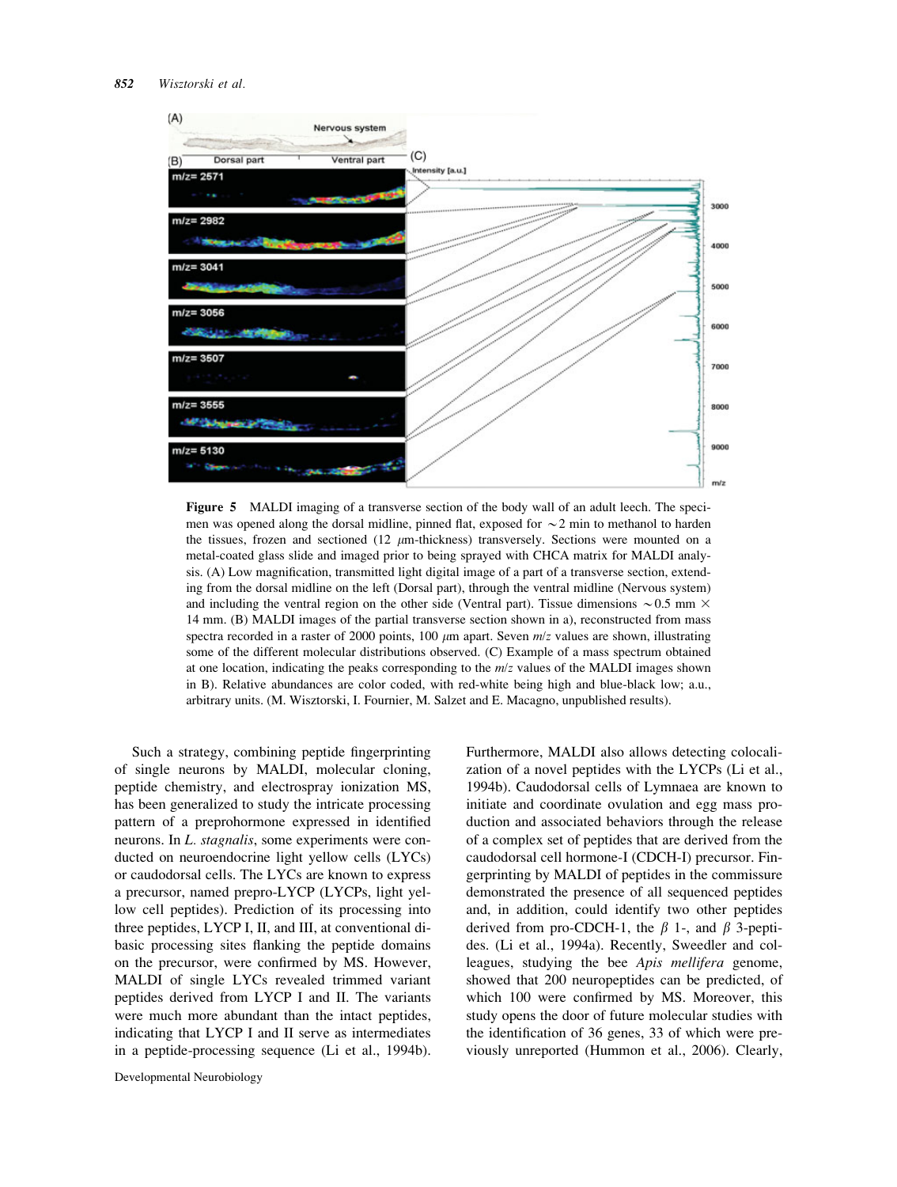

Figure 5 MALDI imaging of a transverse section of the body wall of an adult leech. The specimen was opened along the dorsal midline, pinned flat, exposed for  $\sim$  2 min to methanol to harden the tissues, frozen and sectioned (12  $\mu$ m-thickness) transversely. Sections were mounted on a metal-coated glass slide and imaged prior to being sprayed with CHCA matrix for MALDI analysis. (A) Low magnification, transmitted light digital image of a part of a transverse section, extending from the dorsal midline on the left (Dorsal part), through the ventral midline (Nervous system) and including the ventral region on the other side (Ventral part). Tissue dimensions  $\sim$  0.5 mm  $\times$ 14 mm. (B) MALDI images of the partial transverse section shown in a), reconstructed from mass spectra recorded in a raster of 2000 points, 100  $\mu$ m apart. Seven  $m/z$  values are shown, illustrating some of the different molecular distributions observed. (C) Example of a mass spectrum obtained at one location, indicating the peaks corresponding to the  $m/z$  values of the MALDI images shown in B). Relative abundances are color coded, with red-white being high and blue-black low; a.u., arbitrary units. (M. Wisztorski, I. Fournier, M. Salzet and E. Macagno, unpublished results).

Such a strategy, combining peptide fingerprinting of single neurons by MALDI, molecular cloning, peptide chemistry, and electrospray ionization MS, has been generalized to study the intricate processing pattern of a preprohormone expressed in identified neurons. In L. stagnalis, some experiments were conducted on neuroendocrine light yellow cells (LYCs) or caudodorsal cells. The LYCs are known to express a precursor, named prepro-LYCP (LYCPs, light yellow cell peptides). Prediction of its processing into three peptides, LYCP I, II, and III, at conventional dibasic processing sites flanking the peptide domains on the precursor, were confirmed by MS. However, MALDI of single LYCs revealed trimmed variant peptides derived from LYCP I and II. The variants were much more abundant than the intact peptides, indicating that LYCP I and II serve as intermediates in a peptide-processing sequence (Li et al., 1994b).

Developmental Neurobiology

Furthermore, MALDI also allows detecting colocalization of a novel peptides with the LYCPs (Li et al., 1994b). Caudodorsal cells of Lymnaea are known to initiate and coordinate ovulation and egg mass production and associated behaviors through the release of a complex set of peptides that are derived from the caudodorsal cell hormone-I (CDCH-I) precursor. Fingerprinting by MALDI of peptides in the commissure demonstrated the presence of all sequenced peptides and, in addition, could identify two other peptides derived from pro-CDCH-1, the  $\beta$  1-, and  $\beta$  3-peptides. (Li et al., 1994a). Recently, Sweedler and colleagues, studying the bee Apis mellifera genome, showed that 200 neuropeptides can be predicted, of which 100 were confirmed by MS. Moreover, this study opens the door of future molecular studies with the identification of 36 genes, 33 of which were previously unreported (Hummon et al., 2006). Clearly,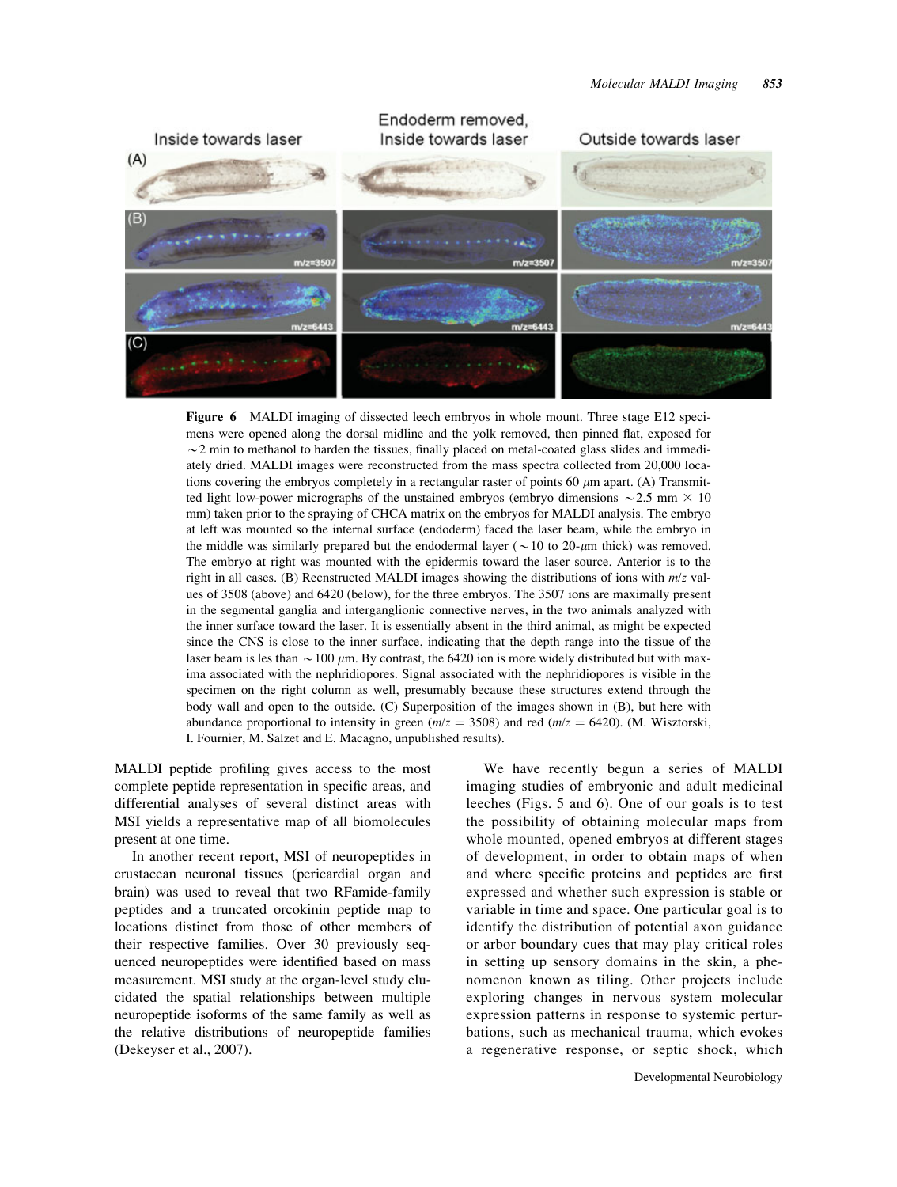

Figure 6 MALDI imaging of dissected leech embryos in whole mount. Three stage E12 specimens were opened along the dorsal midline and the yolk removed, then pinned flat, exposed for  $\sim$  2 min to methanol to harden the tissues, finally placed on metal-coated glass slides and immediately dried. MALDI images were reconstructed from the mass spectra collected from 20,000 locations covering the embryos completely in a rectangular raster of points  $60 \mu m$  apart. (A) Transmitted light low-power micrographs of the unstained embryos (embryo dimensions  $\sim$  2.5 mm  $\times$  10 mm) taken prior to the spraying of CHCA matrix on the embryos for MALDI analysis. The embryo at left was mounted so the internal surface (endoderm) faced the laser beam, while the embryo in the middle was similarly prepared but the endodermal layer ( $\sim$  10 to 20- $\mu$ m thick) was removed. The embryo at right was mounted with the epidermis toward the laser source. Anterior is to the right in all cases. (B) Recnstructed MALDI images showing the distributions of ions with  $m/z$  values of 3508 (above) and 6420 (below), for the three embryos. The 3507 ions are maximally present in the segmental ganglia and interganglionic connective nerves, in the two animals analyzed with the inner surface toward the laser. It is essentially absent in the third animal, as might be expected since the CNS is close to the inner surface, indicating that the depth range into the tissue of the laser beam is les than  $\sim$  100  $\mu$ m. By contrast, the 6420 ion is more widely distributed but with maxima associated with the nephridiopores. Signal associated with the nephridiopores is visible in the specimen on the right column as well, presumably because these structures extend through the body wall and open to the outside. (C) Superposition of the images shown in (B), but here with abundance proportional to intensity in green ( $m/z = 3508$ ) and red ( $m/z = 6420$ ). (M. Wisztorski, I. Fournier, M. Salzet and E. Macagno, unpublished results).

MALDI peptide profiling gives access to the most complete peptide representation in specific areas, and differential analyses of several distinct areas with MSI yields a representative map of all biomolecules present at one time.

In another recent report, MSI of neuropeptides in crustacean neuronal tissues (pericardial organ and brain) was used to reveal that two RFamide-family peptides and a truncated orcokinin peptide map to locations distinct from those of other members of their respective families. Over 30 previously sequenced neuropeptides were identified based on mass measurement. MSI study at the organ-level study elucidated the spatial relationships between multiple neuropeptide isoforms of the same family as well as the relative distributions of neuropeptide families (Dekeyser et al., 2007).

We have recently begun a series of MALDI imaging studies of embryonic and adult medicinal leeches (Figs. 5 and 6). One of our goals is to test the possibility of obtaining molecular maps from whole mounted, opened embryos at different stages of development, in order to obtain maps of when and where specific proteins and peptides are first expressed and whether such expression is stable or variable in time and space. One particular goal is to identify the distribution of potential axon guidance or arbor boundary cues that may play critical roles in setting up sensory domains in the skin, a phenomenon known as tiling. Other projects include exploring changes in nervous system molecular expression patterns in response to systemic perturbations, such as mechanical trauma, which evokes a regenerative response, or septic shock, which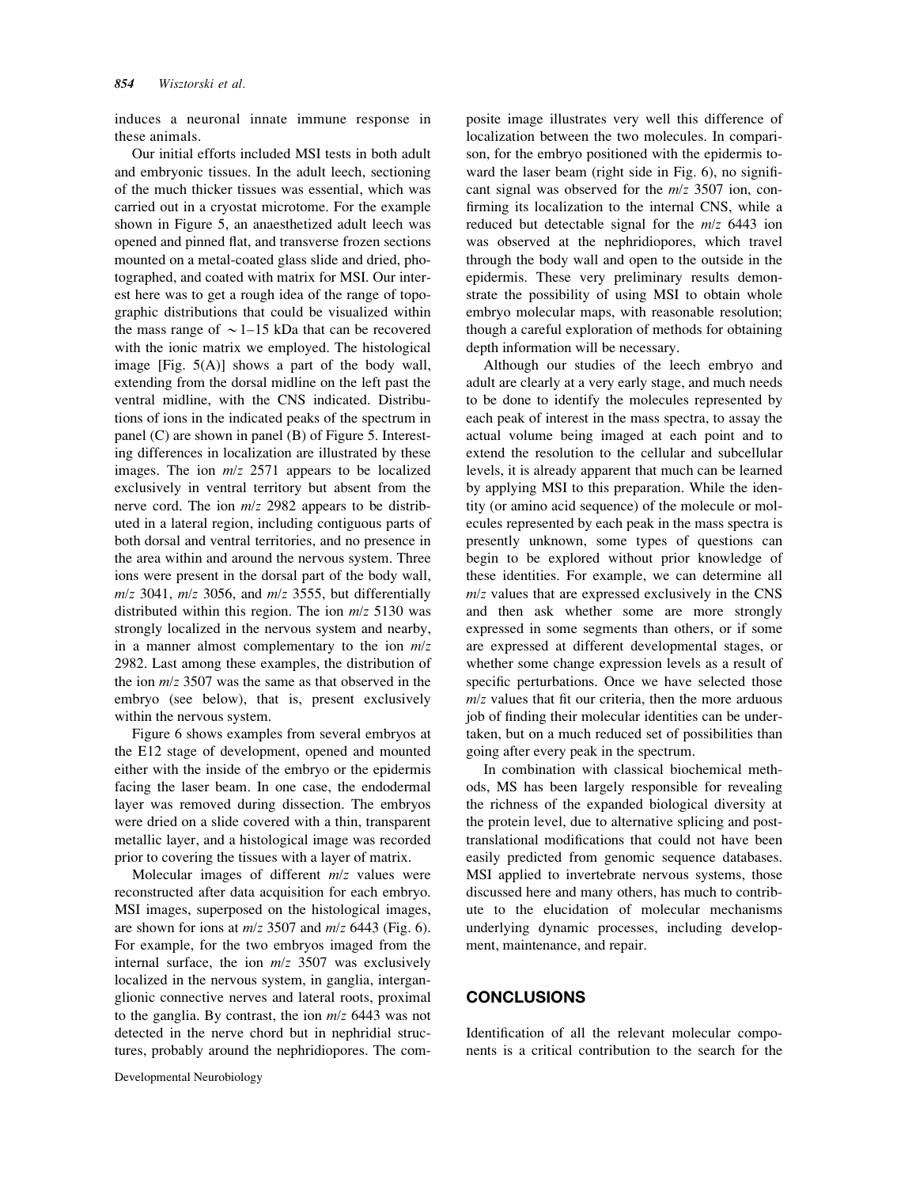induces a neuronal innate immune response in these animals.

Our initial efforts included MSI tests in both adult and embryonic tissues. In the adult leech, sectioning of the much thicker tissues was essential, which was carried out in a cryostat microtome. For the example shown in Figure 5, an anaesthetized adult leech was opened and pinned flat, and transverse frozen sections mounted on a metal-coated glass slide and dried, photographed, and coated with matrix for MSI. Our interest here was to get a rough idea of the range of topographic distributions that could be visualized within the mass range of  $\sim$  1–15 kDa that can be recovered with the ionic matrix we employed. The histological image [Fig. 5(A)] shows a part of the body wall, extending from the dorsal midline on the left past the ventral midline, with the CNS indicated. Distributions of ions in the indicated peaks of the spectrum in panel (C) are shown in panel (B) of Figure 5. Interesting differences in localization are illustrated by these images. The ion  $m/z$  2571 appears to be localized exclusively in ventral territory but absent from the nerve cord. The ion m/z 2982 appears to be distributed in a lateral region, including contiguous parts of both dorsal and ventral territories, and no presence in the area within and around the nervous system. Three ions were present in the dorsal part of the body wall,  $m/z$  3041,  $m/z$  3056, and  $m/z$  3555, but differentially distributed within this region. The ion  $m/z$  5130 was strongly localized in the nervous system and nearby, in a manner almost complementary to the ion  $m/z$ 2982. Last among these examples, the distribution of the ion  $m/z$  3507 was the same as that observed in the embryo (see below), that is, present exclusively within the nervous system.

Figure 6 shows examples from several embryos at the E12 stage of development, opened and mounted either with the inside of the embryo or the epidermis facing the laser beam. In one case, the endodermal layer was removed during dissection. The embryos were dried on a slide covered with a thin, transparent metallic layer, and a histological image was recorded prior to covering the tissues with a layer of matrix.

Molecular images of different *m/z* values were reconstructed after data acquisition for each embryo. MSI images, superposed on the histological images, are shown for ions at  $m/z$  3507 and  $m/z$  6443 (Fig. 6). For example, for the two embryos imaged from the internal surface, the ion  $m/z$  3507 was exclusively localized in the nervous system, in ganglia, interganglionic connective nerves and lateral roots, proximal to the ganglia. By contrast, the ion  $m/z$  6443 was not detected in the nerve chord but in nephridial structures, probably around the nephridiopores. The composite image illustrates very well this difference of localization between the two molecules. In comparison, for the embryo positioned with the epidermis toward the laser beam (right side in Fig. 6), no significant signal was observed for the  $m/z$  3507 ion, confirming its localization to the internal CNS, while a reduced but detectable signal for the  $m/z$  6443 ion was observed at the nephridiopores, which travel through the body wall and open to the outside in the epidermis. These very preliminary results demonstrate the possibility of using MSI to obtain whole embryo molecular maps, with reasonable resolution; though a careful exploration of methods for obtaining depth information will be necessary.

Although our studies of the leech embryo and adult are clearly at a very early stage, and much needs to be done to identify the molecules represented by each peak of interest in the mass spectra, to assay the actual volume being imaged at each point and to extend the resolution to the cellular and subcellular levels, it is already apparent that much can be learned by applying MSI to this preparation. While the identity (or amino acid sequence) of the molecule or molecules represented by each peak in the mass spectra is presently unknown, some types of questions can begin to be explored without prior knowledge of these identities. For example, we can determine all  $m/z$  values that are expressed exclusively in the CNS and then ask whether some are more strongly expressed in some segments than others, or if some are expressed at different developmental stages, or whether some change expression levels as a result of specific perturbations. Once we have selected those  $m/z$  values that fit our criteria, then the more arduous job of finding their molecular identities can be undertaken, but on a much reduced set of possibilities than going after every peak in the spectrum.

In combination with classical biochemical methods, MS has been largely responsible for revealing the richness of the expanded biological diversity at the protein level, due to alternative splicing and posttranslational modifications that could not have been easily predicted from genomic sequence databases. MSI applied to invertebrate nervous systems, those discussed here and many others, has much to contribute to the elucidation of molecular mechanisms underlying dynamic processes, including development, maintenance, and repair.

### **CONCLUSIONS**

Identification of all the relevant molecular components is a critical contribution to the search for the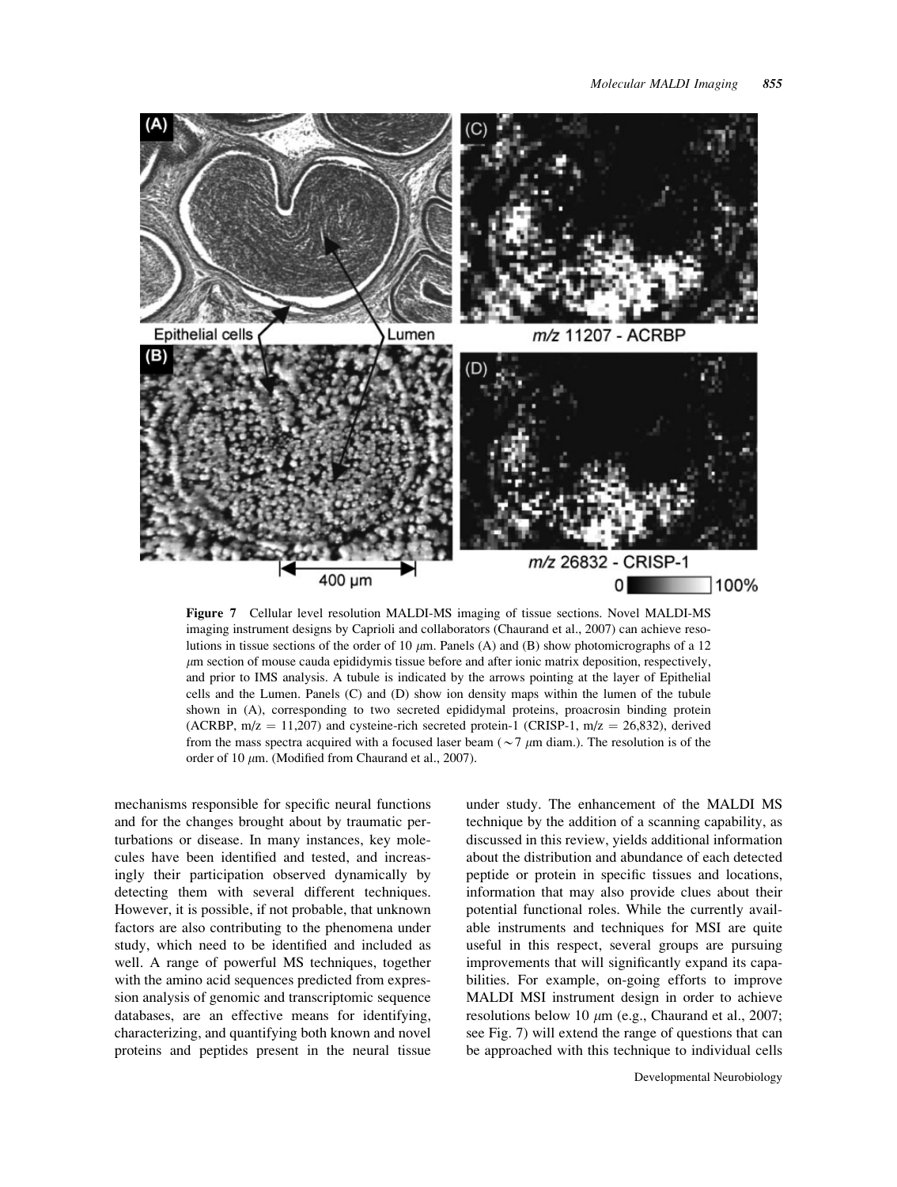

Figure 7 Cellular level resolution MALDI-MS imaging of tissue sections. Novel MALDI-MS imaging instrument designs by Caprioli and collaborators (Chaurand et al., 2007) can achieve resolutions in tissue sections of the order of 10  $\mu$ m. Panels (A) and (B) show photomicrographs of a 12  $\mu$ m section of mouse cauda epididymis tissue before and after ionic matrix deposition, respectively, and prior to IMS analysis. A tubule is indicated by the arrows pointing at the layer of Epithelial cells and the Lumen. Panels (C) and (D) show ion density maps within the lumen of the tubule shown in (A), corresponding to two secreted epididymal proteins, proacrosin binding protein (ACRBP,  $m/z = 11,207$ ) and cysteine-rich secreted protein-1 (CRISP-1,  $m/z = 26,832$ ), derived from the mass spectra acquired with a focused laser beam ( $\sim$ 7  $\mu$ m diam.). The resolution is of the order of 10  $\mu$ m. (Modified from Chaurand et al., 2007).

mechanisms responsible for specific neural functions and for the changes brought about by traumatic perturbations or disease. In many instances, key molecules have been identified and tested, and increasingly their participation observed dynamically by detecting them with several different techniques. However, it is possible, if not probable, that unknown factors are also contributing to the phenomena under study, which need to be identified and included as well. A range of powerful MS techniques, together with the amino acid sequences predicted from expression analysis of genomic and transcriptomic sequence databases, are an effective means for identifying, characterizing, and quantifying both known and novel proteins and peptides present in the neural tissue

under study. The enhancement of the MALDI MS technique by the addition of a scanning capability, as discussed in this review, yields additional information about the distribution and abundance of each detected peptide or protein in specific tissues and locations, information that may also provide clues about their potential functional roles. While the currently available instruments and techniques for MSI are quite useful in this respect, several groups are pursuing improvements that will significantly expand its capabilities. For example, on-going efforts to improve MALDI MSI instrument design in order to achieve resolutions below 10  $\mu$ m (e.g., Chaurand et al., 2007; see Fig. 7) will extend the range of questions that can be approached with this technique to individual cells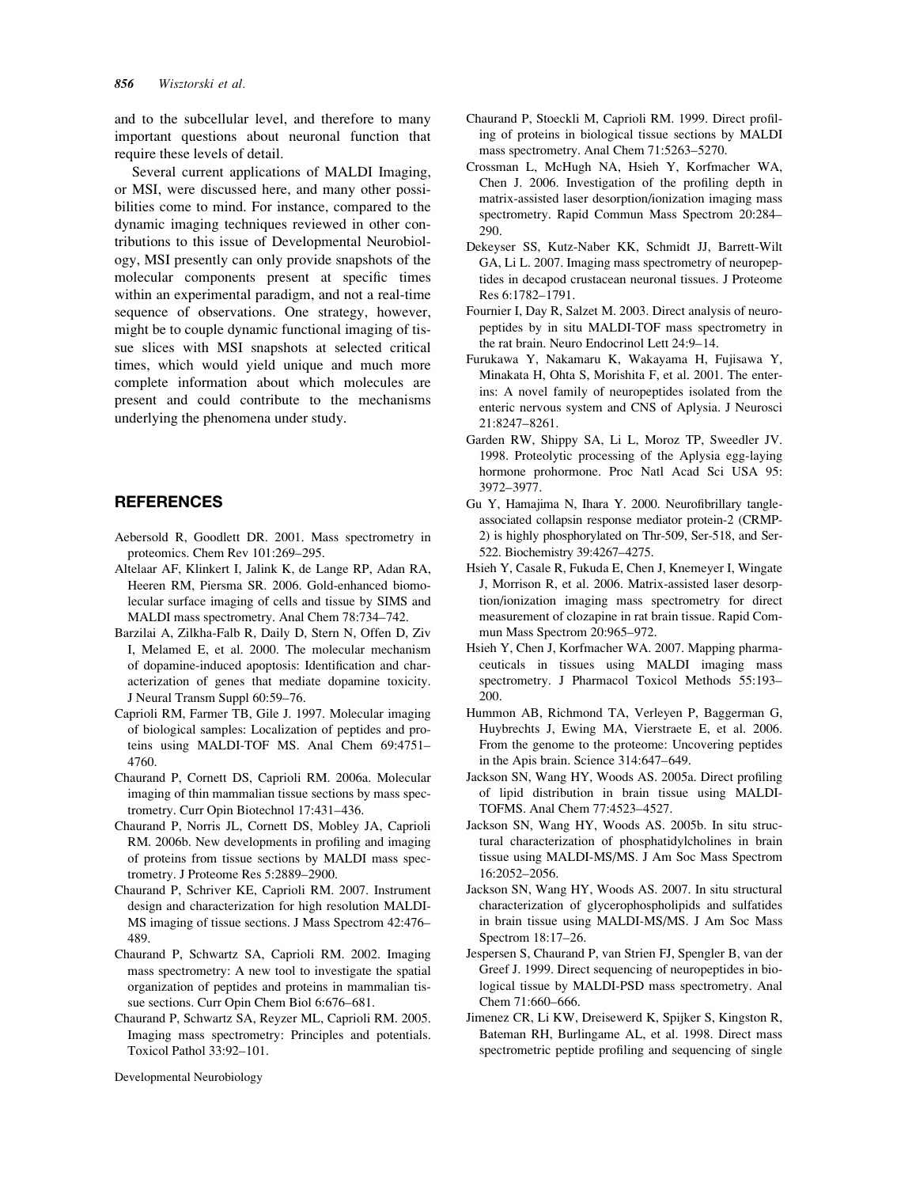and to the subcellular level, and therefore to many important questions about neuronal function that require these levels of detail.

Several current applications of MALDI Imaging, or MSI, were discussed here, and many other possibilities come to mind. For instance, compared to the dynamic imaging techniques reviewed in other contributions to this issue of Developmental Neurobiology, MSI presently can only provide snapshots of the molecular components present at specific times within an experimental paradigm, and not a real-time sequence of observations. One strategy, however, might be to couple dynamic functional imaging of tissue slices with MSI snapshots at selected critical times, which would yield unique and much more complete information about which molecules are present and could contribute to the mechanisms underlying the phenomena under study.

#### **REFERENCES**

- Aebersold R, Goodlett DR. 2001. Mass spectrometry in proteomics. Chem Rev 101:269–295.
- Altelaar AF, Klinkert I, Jalink K, de Lange RP, Adan RA, Heeren RM, Piersma SR. 2006. Gold-enhanced biomolecular surface imaging of cells and tissue by SIMS and MALDI mass spectrometry. Anal Chem 78:734–742.
- Barzilai A, Zilkha-Falb R, Daily D, Stern N, Offen D, Ziv I, Melamed E, et al. 2000. The molecular mechanism of dopamine-induced apoptosis: Identification and characterization of genes that mediate dopamine toxicity. J Neural Transm Suppl 60:59–76.
- Caprioli RM, Farmer TB, Gile J. 1997. Molecular imaging of biological samples: Localization of peptides and proteins using MALDI-TOF MS. Anal Chem 69:4751– 4760.
- Chaurand P, Cornett DS, Caprioli RM. 2006a. Molecular imaging of thin mammalian tissue sections by mass spectrometry. Curr Opin Biotechnol 17:431–436.
- Chaurand P, Norris JL, Cornett DS, Mobley JA, Caprioli RM. 2006b. New developments in profiling and imaging of proteins from tissue sections by MALDI mass spectrometry. J Proteome Res 5:2889–2900.
- Chaurand P, Schriver KE, Caprioli RM. 2007. Instrument design and characterization for high resolution MALDI-MS imaging of tissue sections. J Mass Spectrom 42:476– 489.
- Chaurand P, Schwartz SA, Caprioli RM. 2002. Imaging mass spectrometry: A new tool to investigate the spatial organization of peptides and proteins in mammalian tissue sections. Curr Opin Chem Biol 6:676–681.
- Chaurand P, Schwartz SA, Reyzer ML, Caprioli RM. 2005. Imaging mass spectrometry: Principles and potentials. Toxicol Pathol 33:92–101.
- Chaurand P, Stoeckli M, Caprioli RM. 1999. Direct profiling of proteins in biological tissue sections by MALDI mass spectrometry. Anal Chem 71:5263–5270.
- Crossman L, McHugh NA, Hsieh Y, Korfmacher WA, Chen J. 2006. Investigation of the profiling depth in matrix-assisted laser desorption/ionization imaging mass spectrometry. Rapid Commun Mass Spectrom 20:284– 290.
- Dekeyser SS, Kutz-Naber KK, Schmidt JJ, Barrett-Wilt GA, Li L. 2007. Imaging mass spectrometry of neuropeptides in decapod crustacean neuronal tissues. J Proteome Res 6:1782–1791.
- Fournier I, Day R, Salzet M. 2003. Direct analysis of neuropeptides by in situ MALDI-TOF mass spectrometry in the rat brain. Neuro Endocrinol Lett 24:9–14.
- Furukawa Y, Nakamaru K, Wakayama H, Fujisawa Y, Minakata H, Ohta S, Morishita F, et al. 2001. The enterins: A novel family of neuropeptides isolated from the enteric nervous system and CNS of Aplysia. J Neurosci 21:8247–8261.
- Garden RW, Shippy SA, Li L, Moroz TP, Sweedler JV. 1998. Proteolytic processing of the Aplysia egg-laying hormone prohormone. Proc Natl Acad Sci USA 95: 3972–3977.
- Gu Y, Hamajima N, Ihara Y. 2000. Neurofibrillary tangleassociated collapsin response mediator protein-2 (CRMP-2) is highly phosphorylated on Thr-509, Ser-518, and Ser-522. Biochemistry 39:4267–4275.
- Hsieh Y, Casale R, Fukuda E, Chen J, Knemeyer I, Wingate J, Morrison R, et al. 2006. Matrix-assisted laser desorption/ionization imaging mass spectrometry for direct measurement of clozapine in rat brain tissue. Rapid Commun Mass Spectrom 20:965–972.
- Hsieh Y, Chen J, Korfmacher WA. 2007. Mapping pharmaceuticals in tissues using MALDI imaging mass spectrometry. J Pharmacol Toxicol Methods 55:193– 200.
- Hummon AB, Richmond TA, Verleyen P, Baggerman G, Huybrechts J, Ewing MA, Vierstraete E, et al. 2006. From the genome to the proteome: Uncovering peptides in the Apis brain. Science 314:647–649.
- Jackson SN, Wang HY, Woods AS. 2005a. Direct profiling of lipid distribution in brain tissue using MALDI-TOFMS. Anal Chem 77:4523–4527.
- Jackson SN, Wang HY, Woods AS. 2005b. In situ structural characterization of phosphatidylcholines in brain tissue using MALDI-MS/MS. J Am Soc Mass Spectrom 16:2052–2056.
- Jackson SN, Wang HY, Woods AS. 2007. In situ structural characterization of glycerophospholipids and sulfatides in brain tissue using MALDI-MS/MS. J Am Soc Mass Spectrom 18:17–26.
- Jespersen S, Chaurand P, van Strien FJ, Spengler B, van der Greef J. 1999. Direct sequencing of neuropeptides in biological tissue by MALDI-PSD mass spectrometry. Anal Chem 71:660–666.
- Jimenez CR, Li KW, Dreisewerd K, Spijker S, Kingston R, Bateman RH, Burlingame AL, et al. 1998. Direct mass spectrometric peptide profiling and sequencing of single

Developmental Neurobiology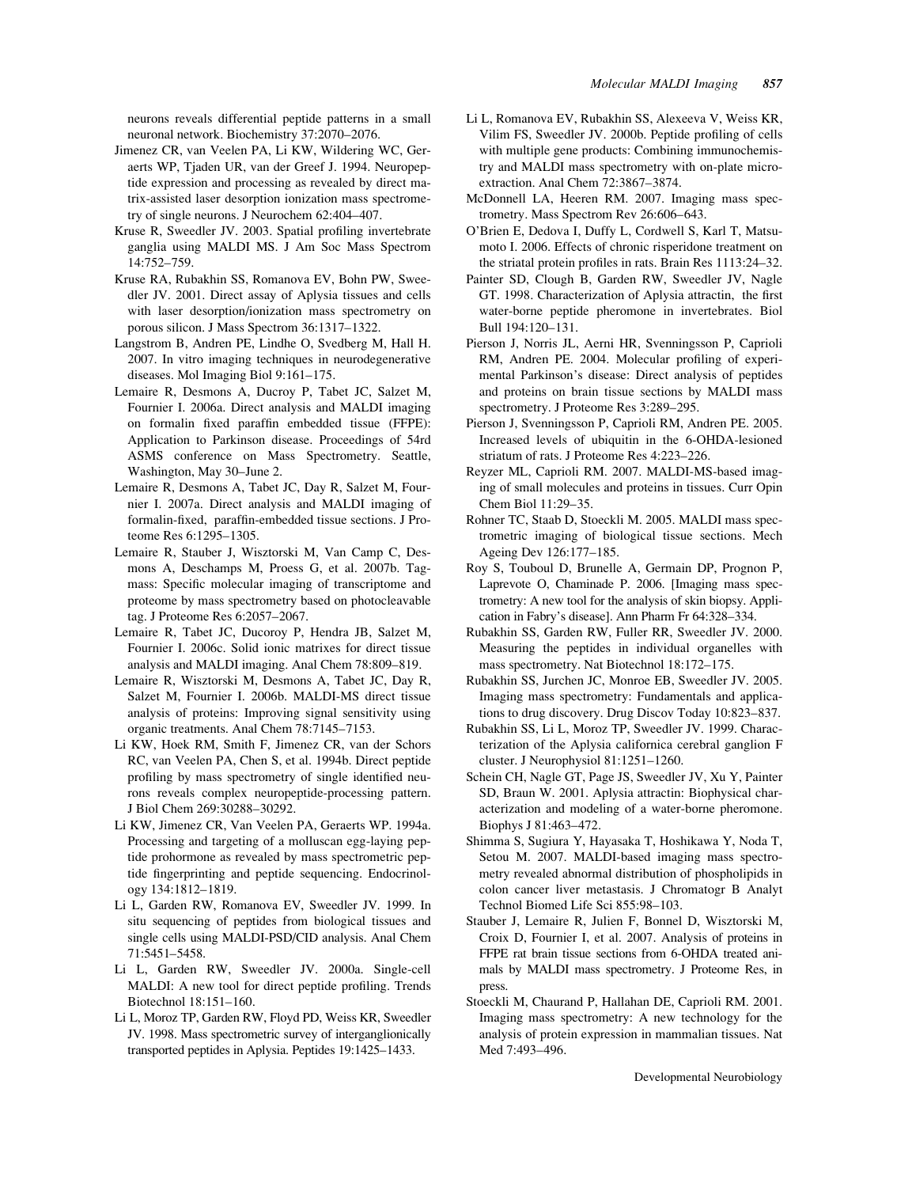neurons reveals differential peptide patterns in a small neuronal network. Biochemistry 37:2070–2076.

- Jimenez CR, van Veelen PA, Li KW, Wildering WC, Geraerts WP, Tjaden UR, van der Greef J. 1994. Neuropeptide expression and processing as revealed by direct matrix-assisted laser desorption ionization mass spectrometry of single neurons. J Neurochem 62:404–407.
- Kruse R, Sweedler JV. 2003. Spatial profiling invertebrate ganglia using MALDI MS. J Am Soc Mass Spectrom 14:752–759.
- Kruse RA, Rubakhin SS, Romanova EV, Bohn PW, Sweedler JV. 2001. Direct assay of Aplysia tissues and cells with laser desorption/ionization mass spectrometry on porous silicon. J Mass Spectrom 36:1317–1322.
- Langstrom B, Andren PE, Lindhe O, Svedberg M, Hall H. 2007. In vitro imaging techniques in neurodegenerative diseases. Mol Imaging Biol 9:161–175.
- Lemaire R, Desmons A, Ducroy P, Tabet JC, Salzet M, Fournier I. 2006a. Direct analysis and MALDI imaging on formalin fixed paraffin embedded tissue (FFPE): Application to Parkinson disease. Proceedings of 54rd ASMS conference on Mass Spectrometry. Seattle, Washington, May 30–June 2.
- Lemaire R, Desmons A, Tabet JC, Day R, Salzet M, Fournier I. 2007a. Direct analysis and MALDI imaging of formalin-fixed, paraffin-embedded tissue sections. J Proteome Res 6:1295–1305.
- Lemaire R, Stauber J, Wisztorski M, Van Camp C, Desmons A, Deschamps M, Proess G, et al. 2007b. Tagmass: Specific molecular imaging of transcriptome and proteome by mass spectrometry based on photocleavable tag. J Proteome Res 6:2057–2067.
- Lemaire R, Tabet JC, Ducoroy P, Hendra JB, Salzet M, Fournier I. 2006c. Solid ionic matrixes for direct tissue analysis and MALDI imaging. Anal Chem 78:809–819.
- Lemaire R, Wisztorski M, Desmons A, Tabet JC, Day R, Salzet M, Fournier I. 2006b. MALDI-MS direct tissue analysis of proteins: Improving signal sensitivity using organic treatments. Anal Chem 78:7145–7153.
- Li KW, Hoek RM, Smith F, Jimenez CR, van der Schors RC, van Veelen PA, Chen S, et al. 1994b. Direct peptide profiling by mass spectrometry of single identified neurons reveals complex neuropeptide-processing pattern. J Biol Chem 269:30288–30292.
- Li KW, Jimenez CR, Van Veelen PA, Geraerts WP. 1994a. Processing and targeting of a molluscan egg-laying peptide prohormone as revealed by mass spectrometric peptide fingerprinting and peptide sequencing. Endocrinology 134:1812–1819.
- Li L, Garden RW, Romanova EV, Sweedler JV. 1999. In situ sequencing of peptides from biological tissues and single cells using MALDI-PSD/CID analysis. Anal Chem 71:5451–5458.
- Li L, Garden RW, Sweedler JV. 2000a. Single-cell MALDI: A new tool for direct peptide profiling. Trends Biotechnol 18:151–160.
- Li L, Moroz TP, Garden RW, Floyd PD, Weiss KR, Sweedler JV. 1998. Mass spectrometric survey of interganglionically transported peptides in Aplysia. Peptides 19:1425–1433.
- Li L, Romanova EV, Rubakhin SS, Alexeeva V, Weiss KR, Vilim FS, Sweedler JV. 2000b. Peptide profiling of cells with multiple gene products: Combining immunochemistry and MALDI mass spectrometry with on-plate microextraction. Anal Chem 72:3867–3874.
- McDonnell LA, Heeren RM. 2007. Imaging mass spectrometry. Mass Spectrom Rev 26:606–643.
- O'Brien E, Dedova I, Duffy L, Cordwell S, Karl T, Matsumoto I. 2006. Effects of chronic risperidone treatment on the striatal protein profiles in rats. Brain Res 1113:24–32.
- Painter SD, Clough B, Garden RW, Sweedler JV, Nagle GT. 1998. Characterization of Aplysia attractin, the first water-borne peptide pheromone in invertebrates. Biol Bull 194:120–131.
- Pierson J, Norris JL, Aerni HR, Svenningsson P, Caprioli RM, Andren PE. 2004. Molecular profiling of experimental Parkinson's disease: Direct analysis of peptides and proteins on brain tissue sections by MALDI mass spectrometry. J Proteome Res 3:289–295.
- Pierson J, Svenningsson P, Caprioli RM, Andren PE. 2005. Increased levels of ubiquitin in the 6-OHDA-lesioned striatum of rats. J Proteome Res 4:223–226.
- Reyzer ML, Caprioli RM. 2007. MALDI-MS-based imaging of small molecules and proteins in tissues. Curr Opin Chem Biol 11:29–35.
- Rohner TC, Staab D, Stoeckli M. 2005. MALDI mass spectrometric imaging of biological tissue sections. Mech Ageing Dev 126:177–185.
- Roy S, Touboul D, Brunelle A, Germain DP, Prognon P, Laprevote O, Chaminade P. 2006. [Imaging mass spectrometry: A new tool for the analysis of skin biopsy. Application in Fabry's disease]. Ann Pharm Fr 64:328–334.
- Rubakhin SS, Garden RW, Fuller RR, Sweedler JV. 2000. Measuring the peptides in individual organelles with mass spectrometry. Nat Biotechnol 18:172–175.
- Rubakhin SS, Jurchen JC, Monroe EB, Sweedler JV. 2005. Imaging mass spectrometry: Fundamentals and applications to drug discovery. Drug Discov Today 10:823–837.
- Rubakhin SS, Li L, Moroz TP, Sweedler JV. 1999. Characterization of the Aplysia californica cerebral ganglion F cluster. J Neurophysiol 81:1251–1260.
- Schein CH, Nagle GT, Page JS, Sweedler JV, Xu Y, Painter SD, Braun W. 2001. Aplysia attractin: Biophysical characterization and modeling of a water-borne pheromone. Biophys J 81:463–472.
- Shimma S, Sugiura Y, Hayasaka T, Hoshikawa Y, Noda T, Setou M. 2007. MALDI-based imaging mass spectrometry revealed abnormal distribution of phospholipids in colon cancer liver metastasis. J Chromatogr B Analyt Technol Biomed Life Sci 855:98–103.
- Stauber J, Lemaire R, Julien F, Bonnel D, Wisztorski M, Croix D, Fournier I, et al. 2007. Analysis of proteins in FFPE rat brain tissue sections from 6-OHDA treated animals by MALDI mass spectrometry. J Proteome Res, in press.
- Stoeckli M, Chaurand P, Hallahan DE, Caprioli RM. 2001. Imaging mass spectrometry: A new technology for the analysis of protein expression in mammalian tissues. Nat Med 7:493–496.